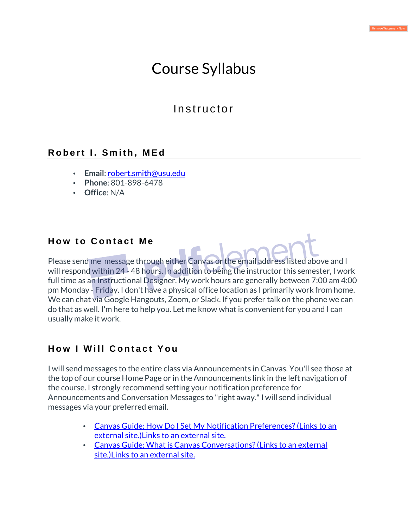# Course Syllabus

## **Instructor**

### **Robert I. Smith, MEd**

- **Email**: robert.smith@usu.edu
- **Phone**: 801-898-6478
- **Office**: N/A

### **How to Contact Me**

Please send me message through either Canvas or the email address listed above and I will respond within 24 - 48 hours. In addition to being the instructor this semester, I work full time as an Instructional Designer. My work hours are generally between 7:00 am 4:00 pm Monday - Friday. I don't have a physical office location as I primarily work from home. We can chat via Google Hangouts, Zoom, or Slack. If you prefer talk on the phone we can do that as well. I'm here to help you. Let me know what is convenient for you and I can usually make it work.

### **How I Will Contact You**

I will send messages to the entire class via Announcements in Canvas. You'll see those at the top of our course Home Page or in the Announcements link in the left navigation of the course. I strongly recommend setting your notification preference for Announcements and Conversation Messages to "right away." I will send individual messages via your preferred email.

- Canvas Guide: How Do I Set My Notification Preferences? (Links to an external site.)Links to an external site.
- Canvas Guide: What is Canvas Conversations? (Links to an external site.)Links to an external site.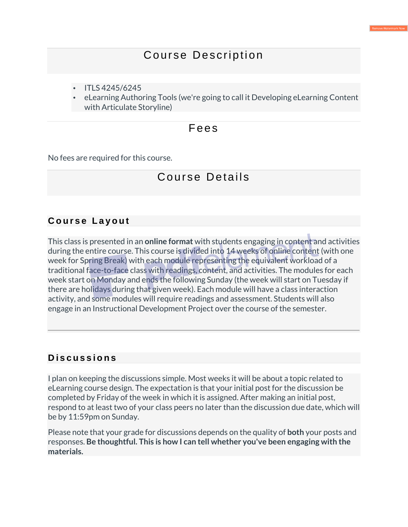## Course Description

- ITLS 4245/6245
- eLearning Authoring Tools (we're going to call it Developing eLearning Content with Articulate Storyline)

### Fee s

No fees are required for this course.

## Course Details

### **Course Layout**

This class is presented in an **online format** with students engaging in content and activities during the entire course. This course is divided into 14 weeks of online content (with one week for Spring Break) with each module representing the equivalent workload of a traditional face-to-face class with readings, content, and activities. The modules for each week start on Monday and ends the following Sunday (the week will start on Tuesday if there are holidays during that given week). Each module will have a class interaction activity, and some modules will require readings and assessment. Students will also engage in an Instructional Development Project over the course of the semester.

### **D i s c u s s i o n s**

I plan on keeping the discussions simple. Most weeks it will be about a topic related to eLearning course design. The expectation is that your initial post for the discussion be completed by Friday of the week in which it is assigned. After making an initial post, respond to at least two of your class peers no later than the discussion due date, which will be by 11:59pm on Sunday.

Please note that your grade for discussions depends on the quality of **both** your posts and responses. **Be thoughtful. This is how I can tell whether you've been engaging with the materials.**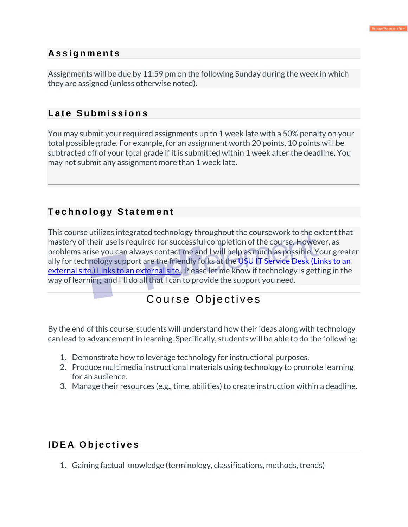### **A s s i g n m e n t s**

Assignments will be due by 11:59 pm on the following Sunday during the week in which they are assigned (unless otherwise noted).

### Late Submissions

You may submit your required assignments up to 1 week late with a 50% penalty on your total possible grade. For example, for an assignment worth 20 points, 10 points will be subtracted off of your total grade if it is submitted within 1 week after the deadline. You may not submit any assignment more than 1 week late.

### **T e c h n o l o g y S t a t e m e n t**

This course utilizes integrated technology throughout the coursework to the extent that mastery of their use is required for successful completion of the course. However, as problems arise you can always contact me and I will help as much as possible. Your greater ally for technology support are the friendly folks at the USU IT Service Desk (Links to an external site.) Links to an external site.. Please let me know if technology is getting in the way of learning, and I'll do all that I can to provide the support you need.

## Course Objectives

By the end of this course, students will understand how their ideas along with technology can lead to advancement in learning. Specifically, students will be able to do the following:

- 1. Demonstrate how to leverage technology for instructional purposes.
- 2. Produce multimedia instructional materials using technology to promote learning for an audience.
- 3. Manage their resources (e.g., time, abilities) to create instruction within a deadline.

### **IDEA Objectives**

1. Gaining factual knowledge (terminology, classifications, methods, trends)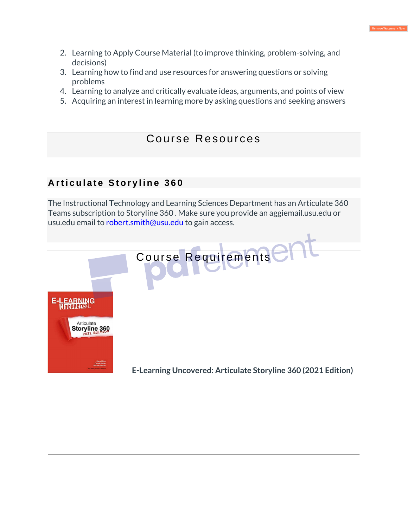- 2. Learning to Apply Course Material (to improve thinking, problem-solving, and decisions)
- 3. Learning how to find and use resources for answering questions or solving problems
- 4. Learning to analyze and critically evaluate ideas, arguments, and points of view
- 5. Acquiring an interest in learning more by asking questions and seeking answers

### Course Resources

### **Articulate Storyline 360**

The Instructional Technology and Learning Sciences Department has an Articulate 360 Teams subscription to Storyline 360 . Make sure you provide an aggiemail.usu.edu or usu.edu email to robert.smith@usu.edu to gain access.

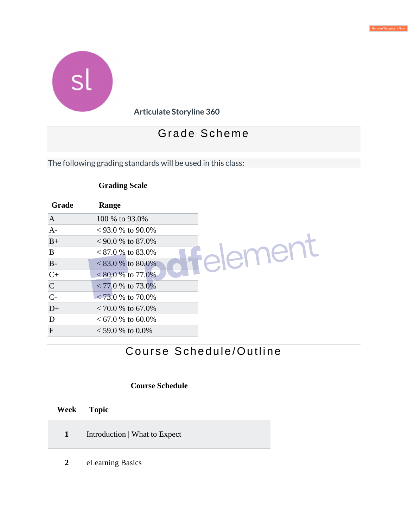



**Articulate Storyline 360**

## Gra de Schem e

The following grading standards will be used in this class:

### **Grading Scale**

| Grade          | Range                |              |
|----------------|----------------------|--------------|
| $\overline{A}$ | 100 % to 93.0%       |              |
| $A-$           | $< 93.0\%$ to 90.0%  |              |
| $B+$           | $< 90.0 \%$ to 87.0% |              |
| B              | $< 87.0\%$ to 83.0%  |              |
| $B-$           | $< 83.0 %$ to 80.0%  | $\mathbf{H}$ |
| $C+$           | $< 80.0 %$ to 77.0%  |              |
| $\mathsf{C}$   | $< 77.0 %$ to 73.0%  |              |
| $C-$           | $< 73.0\%$ to 70.0%  |              |
| $D+$           | $< 70.0 %$ to 67.0%  |              |
| D              | $< 67.0$ % to 60.0%  |              |
| $\mathbf{F}$   | $<$ 59.0 % to 0.0%   |              |

## Course Schedule/Outline

#### **Course Schedule**

|              | Week Topic                    |
|--------------|-------------------------------|
| $\mathbf{1}$ | Introduction   What to Expect |
| $2^{\circ}$  | eLearning Basics              |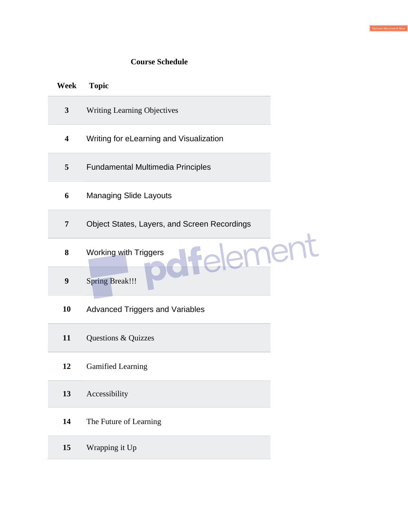#### **Course Schedule**

| Week             | <b>Topic</b>                                 |  |
|------------------|----------------------------------------------|--|
| $\mathbf{3}$     | <b>Writing Learning Objectives</b>           |  |
| 4                | Writing for eLearning and Visualization      |  |
| 5                | <b>Fundamental Multimedia Principles</b>     |  |
| 6                | <b>Managing Slide Layouts</b>                |  |
| $\overline{7}$   | Object States, Layers, and Screen Recordings |  |
| 8                | mer<br><b>Working with Triggers</b>          |  |
| $\boldsymbol{9}$ | <b>Spring Break!!!</b>                       |  |
| 10               | <b>Advanced Triggers and Variables</b>       |  |
| 11               | Questions & Quizzes                          |  |
| 12               | <b>Gamified Learning</b>                     |  |
| 13               | Accessibility                                |  |
| 14               | The Future of Learning                       |  |
| 15               | Wrapping it Up                               |  |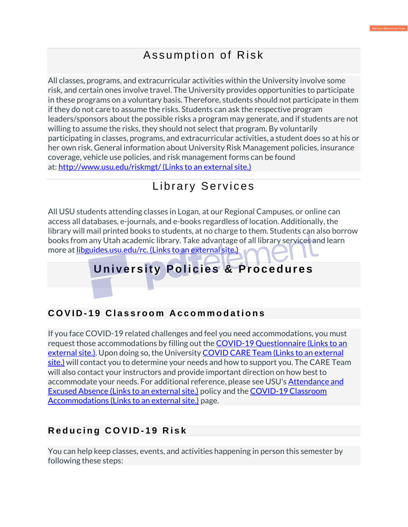## Assumption of Risk

All classes, programs, and extracurricular activities within the University involve some risk, and certain ones involve travel. The University provides opportunities to participate in these programs on a voluntary basis. Therefore, students should not participate in them if they do not care to assume the risks. Students can ask the respective program leaders/sponsors about the possible risks a program may generate, and if students are not willing to assume the risks, they should not select that program. By voluntarily participating in classes, programs, and extracurricular activities, a student does so at his or her own risk. General information about University Risk Management policies, insurance coverage, vehicle use policies, and risk management forms can be found at: http://www.usu.edu/riskmgt/ (Links to an external site.)

## Library Services

All USU students attending classes in Logan, at our Regional Campuses, or online can access all databases, e-journals, and e-books regardless of location. Additionally, the library will mail printed books to students, at no charge to them. Students can also borrow books from any Utah academic library. Take advantage of all library services and learn more at libguides.usu.edu/rc. (Links to an external site.)

## **U niver s ity Polic ies & Proce dures**

### **COVID-19 Classroom Accommodations**

If you face COVID-19 related challenges and feel you need accommodations, you must request those accommodations by filling out the COVID-19 Questionnaire (Links to an external site.). Upon doing so, the University COVID CARE Team (Links to an external site.) will contact you to determine your needs and how to support you. The CARE Team will also contact your instructors and provide important direction on how best to accommodate your needs. For additional reference, please see USU's Attendance and Excused Absence (Links to an external site.) policy and the COVID-19 Classroom Accommodations (Links to an external site.) page.

### **Reducing COVID-19 Risk**

You can help keep classes, events, and activities happening in person this semester by following these steps: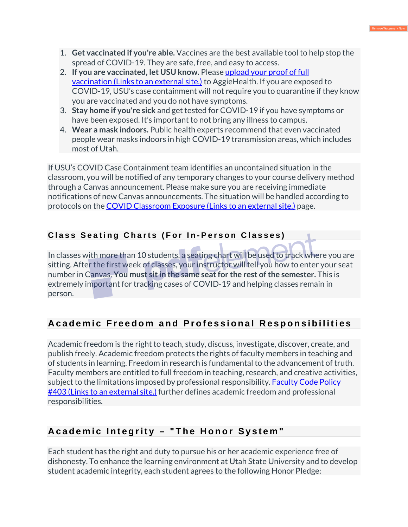- 1. **Get vaccinated if you're able.** Vaccines are the best available tool to help stop the spread of COVID-19. They are safe, free, and easy to access.
- 2. **If you are vaccinated, let USU know.** Please upload your proof of full vaccination (Links to an external site.) to AggieHealth. If you are exposed to COVID-19, USU's case containment will not require you to quarantine if they know you are vaccinated and you do not have symptoms.
- 3. **Stay home if you're sick** and get tested for COVID-19 if you have symptoms or have been exposed. It's important to not bring any illness to campus.
- 4. **Wear a mask indoors.** Public health experts recommend that even vaccinated people wear masks indoors in high COVID-19 transmission areas, which includes most of Utah.

If USU's COVID Case Containment team identifies an uncontained situation in the classroom, you will be notified of any temporary changes to your course delivery method through a Canvas announcement. Please make sure you are receiving immediate notifications of new Canvas announcements. The situation will be handled according to protocols on the COVID Classroom Exposure (Links to an external site.) page.

### **Class Seating Charts (For In-Person Classes)**

In classes with more than 10 students, a seating chart will be used to track where you are sitting. After the first week of classes, your instructor will tell you how to enter your seat number in Canvas. **You must sit in the same seat for the rest of the semester.** This is extremely important for tracking cases of COVID-19 and helping classes remain in person.

## A cademic Freedom and Professional Responsibilities

Academic freedom is the right to teach, study, discuss, investigate, discover, create, and publish freely. Academic freedom protects the rights of faculty members in teaching and of students in learning. Freedom in research is fundamental to the advancement of truth. Faculty members are entitled to full freedom in teaching, research, and creative activities, subject to the limitations imposed by professional responsibility. Faculty Code Policy #403 (Links to an external site.) further defines academic freedom and professional responsibilities.

## A c a d e mic Integrity - "The Honor System"

Each student has the right and duty to pursue his or her academic experience free of dishonesty. To enhance the learning environment at Utah State University and to develop student academic integrity, each student agrees to the following Honor Pledge: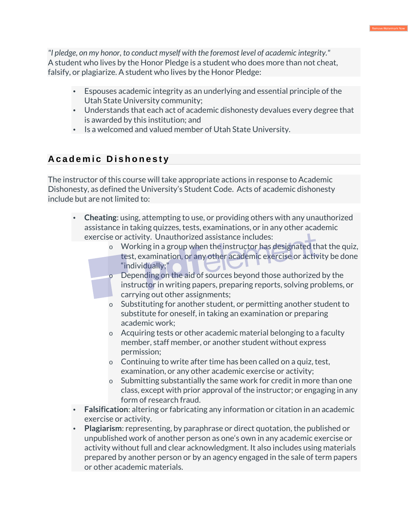*"I pledge, on my honor, to conduct myself with the foremost level of academic integrity."* A student who lives by the Honor Pledge is a student who does more than not cheat, falsify, or plagiarize. A student who lives by the Honor Pledge:

- Espouses academic integrity as an underlying and essential principle of the Utah State University community;
- Understands that each act of academic dishonesty devalues every degree that is awarded by this institution; and
- Is a welcomed and valued member of Utah State University.

## **Academic Dishonesty**

The instructor of this course will take appropriate actions in response to Academic Dishonesty, as defined the University's Student Code. Acts of academic dishonesty include but are not limited to:

- **Cheating**: using, attempting to use, or providing others with any unauthorized assistance in taking quizzes, tests, examinations, or in any other academic exercise or activity. Unauthorized assistance includes:
	- o Working in a group when the instructor has designated that the quiz, test, examination, or any other academic exercise or activity be done "individually;"
	- o Depending on the aid of sources beyond those authorized by the instructor in writing papers, preparing reports, solving problems, or carrying out other assignments;
	- o Substituting for another student, or permitting another student to substitute for oneself, in taking an examination or preparing academic work;
	- o Acquiring tests or other academic material belonging to a faculty member, staff member, or another student without express permission;
	- $\circ$  Continuing to write after time has been called on a quiz, test, examination, or any other academic exercise or activity;
	- o Submitting substantially the same work for credit in more than one class, except with prior approval of the instructor; or engaging in any form of research fraud.
- **Falsification**: altering or fabricating any information or citation in an academic exercise or activity.
- **Plagiarism**: representing, by paraphrase or direct quotation, the published or unpublished work of another person as one's own in any academic exercise or activity without full and clear acknowledgment. It also includes using materials prepared by another person or by an agency engaged in the sale of term papers or other academic materials.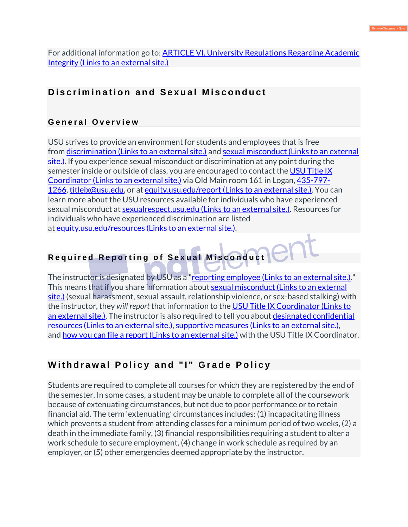For additional information go to: **ARTICLE VI. University Regulations Regarding Academic** Integrity (Links to an external site.)

### Discrimination and Sexual Misconduct

#### **G e n e r a l O v e r v i e w**

USU strives to provide an environment for students and employees that is free from discrimination (Links to an external site.) and sexual misconduct (Links to an external site.). If you experience sexual misconduct or discrimination at any point during the semester inside or outside of class, you are encouraged to contact the USU Title IX Coordinator (Links to an external site.) via Old Main room 161 in Logan, 435-797- 1266, titleix@usu.edu, or at equity.usu.edu/report (Links to an external site.). You can learn more about the USU resources available for individuals who have experienced sexual misconduct at sexualrespect.usu.edu (Links to an external site.). Resources for individuals who have experienced discrimination are listed at equity.usu.edu/resources (Links to an external site.).

### **Required Reporting of Sexual Misconduct**

The instructor is designated by USU as a "reporting employee (Links to an external site.)." This means that if you share information about sexual misconduct (Links to an external site.) (sexual harassment, sexual assault, relationship violence, or sex-based stalking) with the instructor, they *will report* that information to the USU Title IX Coordinator (Links to an external site.). The instructor is also required to tell you about designated confidential resources (Links to an external site.), supportive measures (Links to an external site.), and how you can file a report (Links to an external site.) with the USU Title IX Coordinator.

### **Withdrawal Policy and "I" Grade Policy**

Students are required to complete all courses for which they are registered by the end of the semester. In some cases, a student may be unable to complete all of the coursework because of extenuating circumstances, but not due to poor performance or to retain financial aid. The term 'extenuating' circumstances includes: (1) incapacitating illness which prevents a student from attending classes for a minimum period of two weeks, (2) a death in the immediate family, (3) financial responsibilities requiring a student to alter a work schedule to secure employment, (4) change in work schedule as required by an employer, or (5) other emergencies deemed appropriate by the instructor.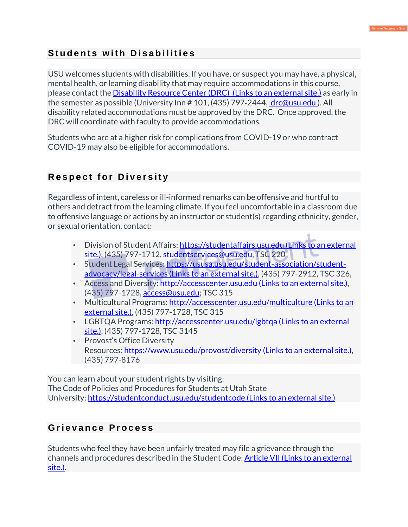### **Students with Disabilities**

USU welcomes students with disabilities. If you have, or suspect you may have, a physical, mental health, or learning disability that may require accommodations in this course, please contact the Disability Resource Center (DRC) (Links to an external site.) as early in the semester as possible (University Inn # 101, (435) 797‐2444, drc@usu.edu ). All disability related accommodations must be approved by the DRC. Once approved, the DRC will coordinate with faculty to provide accommodations.

Students who are at a higher risk for complications from COVID-19 or who contract COVID-19 may also be eligible for accommodations.

### **Respect for Diversity**

Regardless of intent, careless or ill-informed remarks can be offensive and hurtful to others and detract from the learning climate. If you feel uncomfortable in a classroom due to offensive language or actions by an instructor or student(s) regarding ethnicity, gender, or sexual orientation, contact:

- Division of Student Affairs: https://studentaffairs.usu.edu (Links to an external site.), (435) 797-1712, studentservices@usu.edu, TSC 220
- Student Legal Services: https://ususa.usu.edu/student-association/studentadvocacy/legal-services (Links to an external site.), (435) 797-2912, TSC 326,
- Access and Diversity: http://accesscenter.usu.edu (Links to an external site.), (435) 797-1728, access@usu.edu; TSC 315
- Multicultural Programs: http://accesscenter.usu.edu/multiculture (Links to an external site.), (435) 797-1728, TSC 315
- LGBTQA Programs: http://accesscenter.usu.edu/lgbtqa (Links to an external site.), (435) 797-1728, TSC 3145
- Provost's Office Diversity Resources: https://www.usu.edu/provost/diversity (Links to an external site.), (435) 797-8176

You can learn about your student rights by visiting: The Code of Policies and Procedures for Students at Utah State University: https://studentconduct.usu.edu/studentcode (Links to an external site.)

### **G r i e v a n c e P r o c e s s**

Students who feel they have been unfairly treated may file a grievance through the channels and procedures described in the Student Code: Article VII (Links to an external site.).